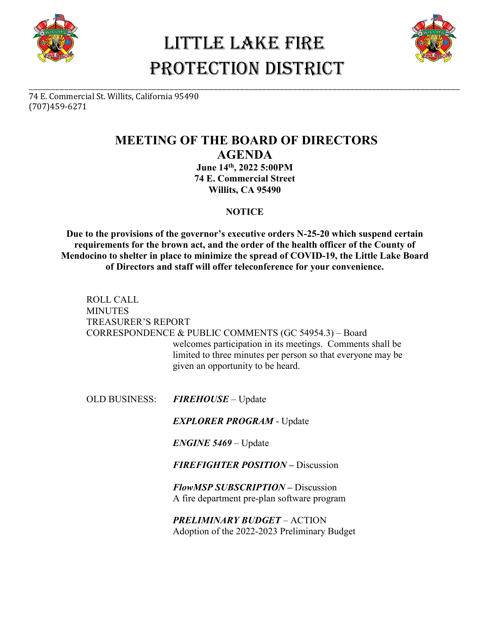

## Little Lake Fire PROTECTION DISTRICT

\_\_\_\_\_\_\_\_\_\_\_\_\_\_\_\_\_\_\_\_\_\_\_\_\_\_\_\_\_\_\_\_\_\_\_\_\_\_\_\_\_\_\_\_\_\_\_\_\_\_\_\_\_\_\_\_\_\_\_\_\_\_\_\_\_\_\_\_\_\_\_\_\_\_\_\_\_\_\_\_\_\_\_\_\_\_\_\_\_\_\_\_\_\_\_\_\_\_



74 E. Commercial St. Willits, California 95490 (707)459-6271

### **MEETING OF THE BOARD OF DIRECTORS AGENDA**

**June 14th, 2022 5:00PM 74 E. Commercial Street Willits, CA 95490**

#### **NOTICE**

**Due to the provisions of the governor's executive orders N-25-20 which suspend certain requirements for the brown act, and the order of the health officer of the County of Mendocino to shelter in place to minimize the spread of COVID-19, the Little Lake Board of Directors and staff will offer teleconference for your convenience.** 

ROLL CALL **MINUTES** TREASURER'S REPORT CORRESPONDENCE & PUBLIC COMMENTS (GC 54954.3) – Board welcomes participation in its meetings. Comments shall be limited to three minutes per person so that everyone may be given an opportunity to be heard.

OLD BUSINESS: *FIREHOUSE* – Update

*EXPLORER PROGRAM* - Update

*ENGINE 5469* – Update

*FIREFIGHTER POSITION –* Discussion

*FlowMSP SUBSCRIPTION –* Discussion A fire department pre-plan software program

*PRELIMINARY BUDGET* – ACTION Adoption of the 2022-2023 Preliminary Budget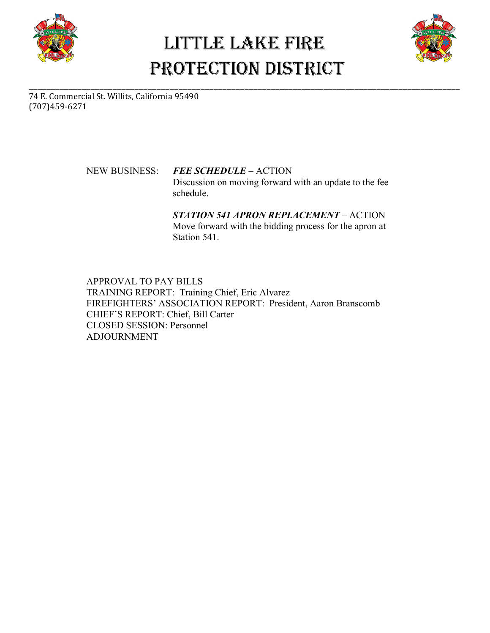

# Little Lake Fire PROTECTION DISTRICT

\_\_\_\_\_\_\_\_\_\_\_\_\_\_\_\_\_\_\_\_\_\_\_\_\_\_\_\_\_\_\_\_\_\_\_\_\_\_\_\_\_\_\_\_\_\_\_\_\_\_\_\_\_\_\_\_\_\_\_\_\_\_\_\_\_\_\_\_\_\_\_\_\_\_\_\_\_\_\_\_\_\_\_\_\_\_\_\_\_\_\_\_\_\_\_\_\_\_



74 E. Commercial St. Willits, California 95490 (707)459-6271

> NEW BUSINESS: *FEE SCHEDULE* – ACTION Discussion on moving forward with an update to the fee schedule.

> > *STATION 541 APRON REPLACEMENT* – ACTION Move forward with the bidding process for the apron at Station 541.

APPROVAL TO PAY BILLS TRAINING REPORT: Training Chief, Eric Alvarez FIREFIGHTERS' ASSOCIATION REPORT: President, Aaron Branscomb CHIEF'S REPORT: Chief, Bill Carter CLOSED SESSION: Personnel ADJOURNMENT